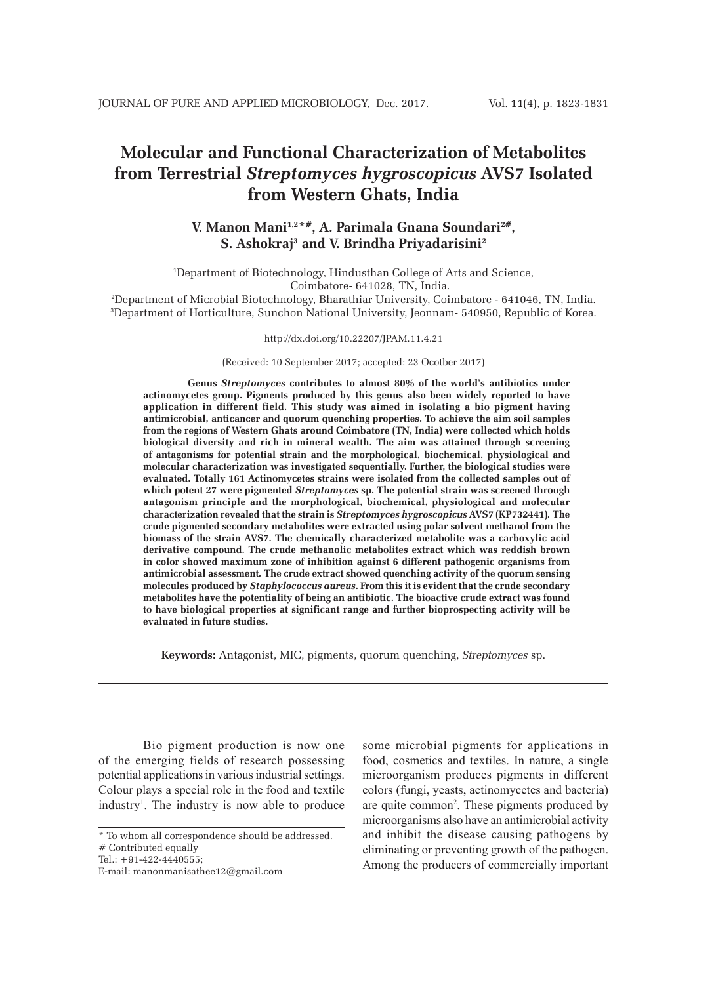# **Molecular and Functional Characterization of Metabolites from Terrestrial** *Streptomyces hygroscopicus* **AVS7 Isolated from Western Ghats, India**

## **V. Manon Mani1,2\*#, A. Parimala Gnana Soundari2#, S. Ashokraj3 and V. Brindha Priyadarisini2**

1 Department of Biotechnology, Hindusthan College of Arts and Science, Coimbatore- 641028, TN, India.

2 Department of Microbial Biotechnology, Bharathiar University, Coimbatore - 641046, TN, India. 3 Department of Horticulture, Sunchon National University, Jeonnam- 540950, Republic of Korea.

#### http://dx.doi.org/10.22207/JPAM.11.4.21

(Received: 10 September 2017; accepted: 23 Ocotber 2017)

**Genus** *Streptomyces* **contributes to almost 80% of the world's antibiotics under actinomycetes group. Pigments produced by this genus also been widely reported to have application in different field. This study was aimed in isolating a bio pigment having antimicrobial, anticancer and quorum quenching properties. To achieve the aim soil samples from the regions of Western Ghats around Coimbatore (TN, India) were collected which holds biological diversity and rich in mineral wealth. The aim was attained through screening of antagonisms for potential strain and the morphological, biochemical, physiological and molecular characterization was investigated sequentially. Further, the biological studies were evaluated. Totally 161 Actinomycetes strains were isolated from the collected samples out of which potent 27 were pigmented** *Streptomyces* **sp. The potential strain was screened through antagonism principle and the morphological, biochemical, physiological and molecular characterization revealed that the strain is** *Streptomyces hygroscopicus* **AVS7 (KP732441)***.* **The crude pigmented secondary metabolites were extracted using polar solvent methanol from the biomass of the strain AVS7. The chemically characterized metabolite was a carboxylic acid derivative compound. The crude methanolic metabolites extract which was reddish brown in color showed maximum zone of inhibition against 6 different pathogenic organisms from antimicrobial assessment***.* **The crude extract showed quenching activity of the quorum sensing molecules produced by** *Staphylococcus aureus***. From this it is evident that the crude secondary metabolites have the potentiality of being an antibiotic. The bioactive crude extract was found to have biological properties at significant range and further bioprospecting activity will be evaluated in future studies.** 

**Keywords:** Antagonist, MIC, pigments, quorum quenching, *Streptomyces* sp.

Bio pigment production is now one of the emerging fields of research possessing potential applications in various industrial settings. Colour plays a special role in the food and textile industry<sup>1</sup>. The industry is now able to produce

Tel.: +91-422-4440555;

some microbial pigments for applications in food, cosmetics and textiles. In nature, a single microorganism produces pigments in different colors (fungi, yeasts, actinomycetes and bacteria) are quite common<sup>2</sup>. These pigments produced by microorganisms also have an antimicrobial activity and inhibit the disease causing pathogens by eliminating or preventing growth of the pathogen. Among the producers of commercially important

<sup>\*</sup> To whom all correspondence should be addressed.

<sup>#</sup> Contributed equally

E-mail: manonmanisathee12@gmail.com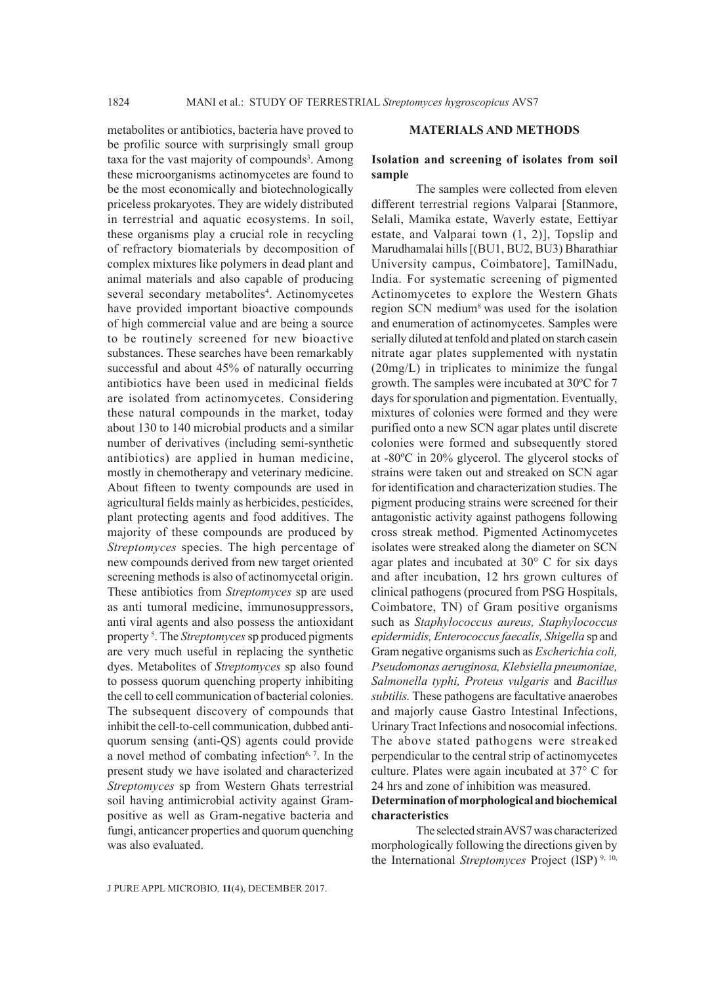metabolites or antibiotics, bacteria have proved to be profilic source with surprisingly small group taxa for the vast majority of compounds<sup>3</sup>. Among these microorganisms actinomycetes are found to be the most economically and biotechnologically priceless prokaryotes. They are widely distributed in terrestrial and aquatic ecosystems. In soil, these organisms play a crucial role in recycling of refractory biomaterials by decomposition of complex mixtures like polymers in dead plant and animal materials and also capable of producing several secondary metabolites<sup>4</sup>. Actinomycetes have provided important bioactive compounds of high commercial value and are being a source to be routinely screened for new bioactive substances. These searches have been remarkably successful and about 45% of naturally occurring antibiotics have been used in medicinal fields are isolated from actinomycetes. Considering these natural compounds in the market, today about 130 to 140 microbial products and a similar number of derivatives (including semi-synthetic antibiotics) are applied in human medicine, mostly in chemotherapy and veterinary medicine. About fifteen to twenty compounds are used in agricultural fields mainly as herbicides, pesticides, plant protecting agents and food additives. The majority of these compounds are produced by *Streptomyces* species. The high percentage of new compounds derived from new target oriented screening methods is also of actinomycetal origin. These antibiotics from *Streptomyces* sp are used as anti tumoral medicine, immunosuppressors, anti viral agents and also possess the antioxidant property 5 . The *Streptomyces* sp produced pigments are very much useful in replacing the synthetic dyes. Metabolites of *Streptomyces* sp also found to possess quorum quenching property inhibiting the cell to cell communication of bacterial colonies. The subsequent discovery of compounds that inhibit the cell-to-cell communication, dubbed antiquorum sensing (anti-QS) agents could provide a novel method of combating infection $6, 7$ . In the present study we have isolated and characterized *Streptomyces* sp from Western Ghats terrestrial soil having antimicrobial activity against Grampositive as well as Gram-negative bacteria and fungi, anticancer properties and quorum quenching was also evaluated.

#### **MATERIALS AND METHODS**

#### **Isolation and screening of isolates from soil sample**

The samples were collected from eleven different terrestrial regions Valparai [Stanmore, Selali, Mamika estate, Waverly estate, Eettiyar estate, and Valparai town (1, 2)], Topslip and Marudhamalai hills [(BU1, BU2, BU3) Bharathiar University campus, Coimbatore], TamilNadu, India. For systematic screening of pigmented Actinomycetes to explore the Western Ghats region SCN medium8 was used for the isolation and enumeration of actinomycetes. Samples were serially diluted at tenfold and plated on starch casein nitrate agar plates supplemented with nystatin (20mg/L) in triplicates to minimize the fungal growth. The samples were incubated at 30ºC for 7 days for sporulation and pigmentation. Eventually, mixtures of colonies were formed and they were purified onto a new SCN agar plates until discrete colonies were formed and subsequently stored at -80ºC in 20% glycerol. The glycerol stocks of strains were taken out and streaked on SCN agar for identification and characterization studies. The pigment producing strains were screened for their antagonistic activity against pathogens following cross streak method. Pigmented Actinomycetes isolates were streaked along the diameter on SCN agar plates and incubated at 30° C for six days and after incubation, 12 hrs grown cultures of clinical pathogens (procured from PSG Hospitals, Coimbatore, TN) of Gram positive organisms such as *Staphylococcus aureus, Staphylococcus epidermidis, Enterococcus faecalis, Shigella* sp and Gram negative organisms such as *Escherichia coli, Pseudomonas aeruginosa, Klebsiella pneumoniae, Salmonella typhi, Proteus vulgaris* and *Bacillus subtilis.* These pathogens are facultative anaerobes and majorly cause Gastro Intestinal Infections, Urinary Tract Infections and nosocomial infections. The above stated pathogens were streaked perpendicular to the central strip of actinomycetes culture. Plates were again incubated at 37° C for 24 hrs and zone of inhibition was measured.

## **Determination of morphological and biochemical characteristics**

The selected strain AVS7 was characterized morphologically following the directions given by the International *Streptomyces* Project (ISP) 9, 10,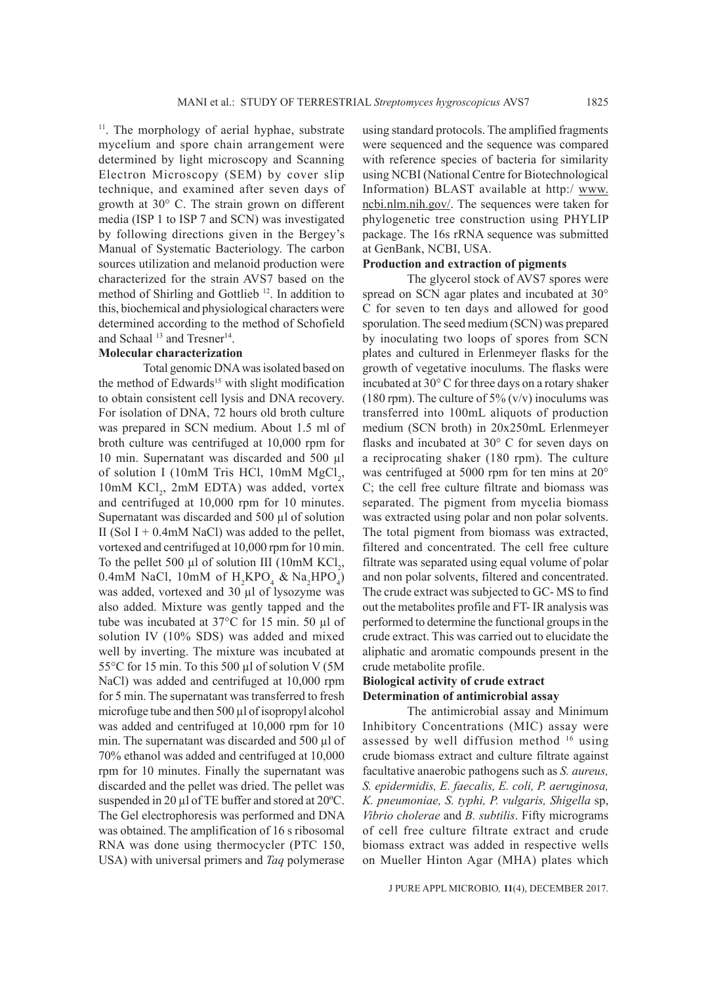<sup>11</sup>. The morphology of aerial hyphae, substrate mycelium and spore chain arrangement were determined by light microscopy and Scanning Electron Microscopy (SEM) by cover slip technique, and examined after seven days of growth at 30° C. The strain grown on different media (ISP 1 to ISP 7 and SCN) was investigated by following directions given in the Bergey's Manual of Systematic Bacteriology. The carbon sources utilization and melanoid production were characterized for the strain AVS7 based on the method of Shirling and Gottlieb<sup>12</sup>. In addition to this, biochemical and physiological characters were determined according to the method of Schofield and Schaal <sup>13</sup> and Tresner<sup>14</sup>.

### **Molecular characterization**

Total genomic DNA was isolated based on the method of Edwards<sup>15</sup> with slight modification to obtain consistent cell lysis and DNA recovery. For isolation of DNA, 72 hours old broth culture was prepared in SCN medium. About 1.5 ml of broth culture was centrifuged at 10,000 rpm for 10 min. Supernatant was discarded and 500 µl of solution I (10mM Tris HCl, 10mM  $MgCl<sub>2</sub>$ , 10mM KCl<sub>2</sub>, 2mM EDTA) was added, vortex and centrifuged at 10,000 rpm for 10 minutes. Supernatant was discarded and 500 µl of solution II (Sol I + 0.4mM NaCl) was added to the pellet, vortexed and centrifuged at 10,000 rpm for 10 min. To the pellet 500  $\mu$ l of solution III (10mM KCl<sub>2</sub>, 0.4mM NaCl, 10mM of  $H_2KPO_4 \& Na_2HPO_4$ ) was added, vortexed and 30 µl of lysozyme was also added. Mixture was gently tapped and the tube was incubated at 37°C for 15 min. 50 µl of solution IV (10% SDS) was added and mixed well by inverting. The mixture was incubated at 55°C for 15 min. To this 500 µl of solution V (5M NaCl) was added and centrifuged at 10,000 rpm for 5 min. The supernatant was transferred to fresh microfuge tube and then 500 µl of isopropyl alcohol was added and centrifuged at 10,000 rpm for 10 min. The supernatant was discarded and  $500 \mu l$  of 70% ethanol was added and centrifuged at 10,000 rpm for 10 minutes. Finally the supernatant was discarded and the pellet was dried. The pellet was suspended in 20 µl of TE buffer and stored at 20°C. The Gel electrophoresis was performed and DNA was obtained. The amplification of 16 s ribosomal RNA was done using thermocycler (PTC 150, USA) with universal primers and *Taq* polymerase

using standard protocols. The amplified fragments were sequenced and the sequence was compared with reference species of bacteria for similarity using NCBI (National Centre for Biotechnological Information) BLAST available at http:/ www. ncbi.nlm.nih.gov/. The sequences were taken for phylogenetic tree construction using PHYLIP package. The 16s rRNA sequence was submitted at GenBank, NCBI, USA.

#### **Production and extraction of pigments**

The glycerol stock of AVS7 spores were spread on SCN agar plates and incubated at 30° C for seven to ten days and allowed for good sporulation. The seed medium (SCN) was prepared by inoculating two loops of spores from SCN plates and cultured in Erlenmeyer flasks for the growth of vegetative inoculums. The flasks were incubated at 30° C for three days on a rotary shaker (180 rpm). The culture of 5% (v/v) inoculums was transferred into 100mL aliquots of production medium (SCN broth) in 20x250mL Erlenmeyer flasks and incubated at 30° C for seven days on a reciprocating shaker (180 rpm). The culture was centrifuged at 5000 rpm for ten mins at 20° C; the cell free culture filtrate and biomass was separated. The pigment from mycelia biomass was extracted using polar and non polar solvents. The total pigment from biomass was extracted, filtered and concentrated. The cell free culture filtrate was separated using equal volume of polar and non polar solvents, filtered and concentrated. The crude extract was subjected to GC- MS to find out the metabolites profile and FT- IR analysis was performed to determine the functional groups in the crude extract. This was carried out to elucidate the aliphatic and aromatic compounds present in the crude metabolite profile.

## **Biological activity of crude extract Determination of antimicrobial assay**

The antimicrobial assay and Minimum Inhibitory Concentrations (MIC) assay were assessed by well diffusion method 16 using crude biomass extract and culture filtrate against facultative anaerobic pathogens such as *S. aureus, S. epidermidis, E. faecalis, E. coli, P. aeruginosa, K. pneumoniae, S. typhi, P. vulgaris, Shigella* sp, *Vibrio cholerae* and *B. subtilis*. Fifty micrograms of cell free culture filtrate extract and crude biomass extract was added in respective wells on Mueller Hinton Agar (MHA) plates which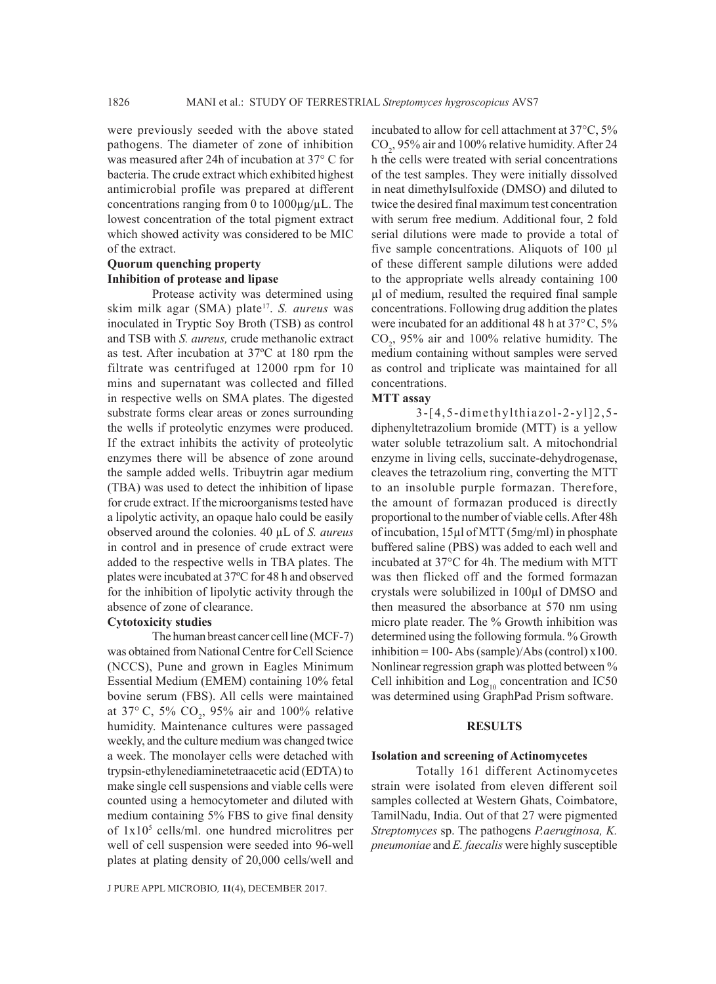were previously seeded with the above stated pathogens. The diameter of zone of inhibition was measured after 24h of incubation at 37° C for bacteria. The crude extract which exhibited highest antimicrobial profile was prepared at different concentrations ranging from 0 to 1000µg/µL. The lowest concentration of the total pigment extract which showed activity was considered to be MIC of the extract.

## **Quorum quenching property Inhibition of protease and lipase**

Protease activity was determined using skim milk agar (SMA) plate17. *S. aureus* was inoculated in Tryptic Soy Broth (TSB) as control and TSB with *S. aureus,* crude methanolic extract as test. After incubation at 37ºC at 180 rpm the filtrate was centrifuged at 12000 rpm for 10 mins and supernatant was collected and filled in respective wells on SMA plates. The digested substrate forms clear areas or zones surrounding the wells if proteolytic enzymes were produced. If the extract inhibits the activity of proteolytic enzymes there will be absence of zone around the sample added wells. Tribuytrin agar medium (TBA) was used to detect the inhibition of lipase for crude extract. If the microorganisms tested have a lipolytic activity, an opaque halo could be easily observed around the colonies. 40 µL of *S. aureus*  in control and in presence of crude extract were added to the respective wells in TBA plates. The plates were incubated at 37ºC for 48 h and observed for the inhibition of lipolytic activity through the absence of zone of clearance.

#### **Cytotoxicity studies**

The human breast cancer cell line (MCF-7) was obtained from National Centre for Cell Science (NCCS), Pune and grown in Eagles Minimum Essential Medium (EMEM) containing 10% fetal bovine serum (FBS). All cells were maintained at 37 $^{\circ}$  C, 5% CO<sub>2</sub>, 95% air and 100% relative humidity. Maintenance cultures were passaged weekly, and the culture medium was changed twice a week. The monolayer cells were detached with trypsin-ethylenediaminetetraacetic acid (EDTA) to make single cell suspensions and viable cells were counted using a hemocytometer and diluted with medium containing 5% FBS to give final density of 1x105 cells/ml. one hundred microlitres per well of cell suspension were seeded into 96-well plates at plating density of 20,000 cells/well and

incubated to allow for cell attachment at 37°C, 5%  $CO<sub>2</sub>$ , 95% air and 100% relative humidity. After 24 h the cells were treated with serial concentrations of the test samples. They were initially dissolved in neat dimethylsulfoxide (DMSO) and diluted to twice the desired final maximum test concentration with serum free medium. Additional four, 2 fold serial dilutions were made to provide a total of five sample concentrations. Aliquots of 100 µl of these different sample dilutions were added to the appropriate wells already containing 100 µl of medium, resulted the required final sample concentrations. Following drug addition the plates were incubated for an additional 48 h at 37°C, 5%  $CO<sub>2</sub>$ , 95% air and 100% relative humidity. The medium containing without samples were served as control and triplicate was maintained for all concentrations.

#### **MTT assay**

3-[4,5-dimethylthiazol-2-yl]2,5 diphenyltetrazolium bromide (MTT) is a yellow water soluble tetrazolium salt. A mitochondrial enzyme in living cells, succinate-dehydrogenase, cleaves the tetrazolium ring, converting the MTT to an insoluble purple formazan. Therefore, the amount of formazan produced is directly proportional to the number of viable cells. After 48h of incubation, 15µl of MTT (5mg/ml) in phosphate buffered saline (PBS) was added to each well and incubated at 37°C for 4h. The medium with MTT was then flicked off and the formed formazan crystals were solubilized in 100µl of DMSO and then measured the absorbance at 570 nm using micro plate reader. The % Growth inhibition was determined using the following formula. % Growth inhibition = 100- Abs (sample)/Abs (control)  $x100$ . Nonlinear regression graph was plotted between % Cell inhibition and  $Log_{10}$  concentration and IC50 was determined using GraphPad Prism software.

## **RESULTS**

#### **Isolation and screening of Actinomycetes**

Totally 161 different Actinomycetes strain were isolated from eleven different soil samples collected at Western Ghats, Coimbatore, TamilNadu, India. Out of that 27 were pigmented *Streptomyces* sp. The pathogens *P.aeruginosa, K. pneumoniae* and *E. faecalis* were highly susceptible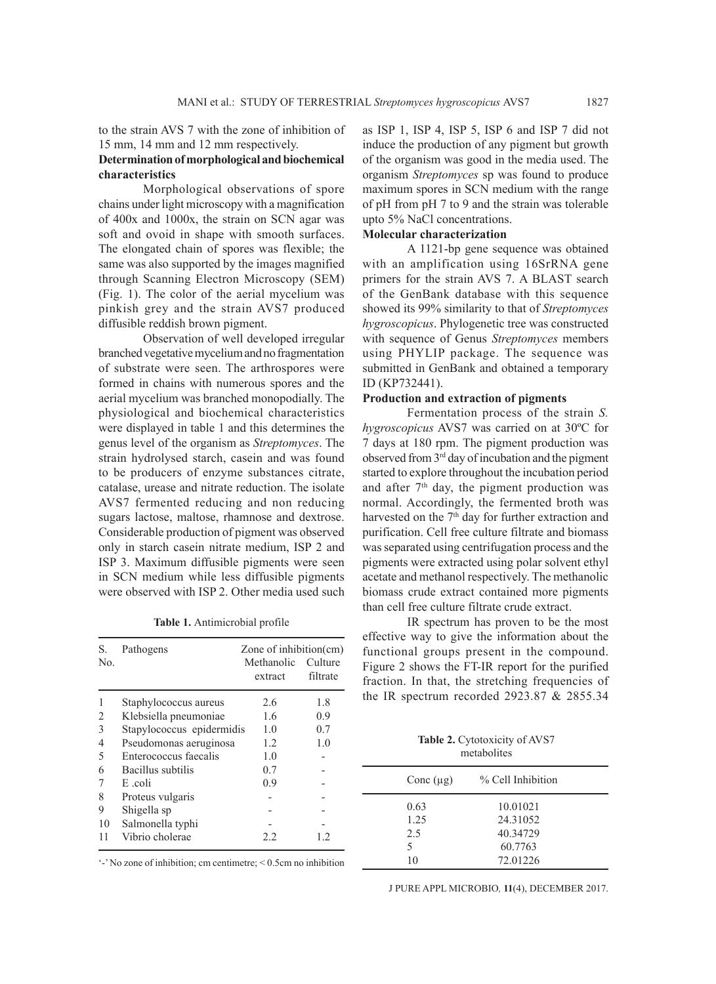to the strain AVS 7 with the zone of inhibition of 15 mm, 14 mm and 12 mm respectively.

## **Determination of morphological and biochemical characteristics**

Morphological observations of spore chains under light microscopy with a magnification of 400x and 1000x, the strain on SCN agar was soft and ovoid in shape with smooth surfaces. The elongated chain of spores was flexible; the same was also supported by the images magnified through Scanning Electron Microscopy (SEM) (Fig. 1). The color of the aerial mycelium was pinkish grey and the strain AVS7 produced diffusible reddish brown pigment.

Observation of well developed irregular branched vegetative mycelium and no fragmentation of substrate were seen. The arthrospores were formed in chains with numerous spores and the aerial mycelium was branched monopodially. The physiological and biochemical characteristics were displayed in table 1 and this determines the genus level of the organism as *Streptomyces*. The strain hydrolysed starch, casein and was found to be producers of enzyme substances citrate, catalase, urease and nitrate reduction. The isolate AVS7 fermented reducing and non reducing sugars lactose, maltose, rhamnose and dextrose. Considerable production of pigment was observed only in starch casein nitrate medium, ISP 2 and ISP 3. Maximum diffusible pigments were seen in SCN medium while less diffusible pigments were observed with ISP 2. Other media used such

**Table 1.** Antimicrobial profile

| S.  | Pathogens                 | Zone of inhibition $(cm)$ |                     |  |
|-----|---------------------------|---------------------------|---------------------|--|
| No. |                           | Methanolic<br>extract     | Culture<br>filtrate |  |
|     | Staphylococcus aureus     | 2.6                       | 1.8                 |  |
| 2   | Klebsiella pneumoniae     | 1.6                       | 0.9                 |  |
| 3   | Stapylococcus epidermidis | 1.0                       | 0.7                 |  |
| 4   | Pseudomonas aeruginosa    | 1.2                       | 1.0                 |  |
| 5   | Enterococcus faecalis     | 1.0                       |                     |  |
| 6   | Bacillus subtilis         | 0.7                       |                     |  |
|     | E coli                    | 0.9                       |                     |  |
| 8   | Proteus vulgaris          |                           |                     |  |
| 9   | Shigella sp               |                           |                     |  |
| 10  | Salmonella typhi          |                           |                     |  |
| 11  | Vibrio cholerae           | 2.2                       | 1.2                 |  |

as ISP 1, ISP 4, ISP 5, ISP 6 and ISP 7 did not induce the production of any pigment but growth of the organism was good in the media used. The organism *Streptomyces* sp was found to produce maximum spores in SCN medium with the range of pH from pH 7 to 9 and the strain was tolerable upto 5% NaCl concentrations.

## **Molecular characterization**

A 1121-bp gene sequence was obtained with an amplification using 16SrRNA gene primers for the strain AVS 7. A BLAST search of the GenBank database with this sequence showed its 99% similarity to that of *Streptomyces hygroscopicus*. Phylogenetic tree was constructed with sequence of Genus *Streptomyces* members using PHYLIP package. The sequence was submitted in GenBank and obtained a temporary ID (KP732441).

## **Production and extraction of pigments**

Fermentation process of the strain *S. hygroscopicus* AVS7 was carried on at 30ºC for 7 days at 180 rpm. The pigment production was observed from 3rd day of incubation and the pigment started to explore throughout the incubation period and after  $7<sup>th</sup>$  day, the pigment production was normal. Accordingly, the fermented broth was harvested on the 7<sup>th</sup> day for further extraction and purification. Cell free culture filtrate and biomass was separated using centrifugation process and the pigments were extracted using polar solvent ethyl acetate and methanol respectively. The methanolic biomass crude extract contained more pigments than cell free culture filtrate crude extract.

IR spectrum has proven to be the most effective way to give the information about the functional groups present in the compound. Figure 2 shows the FT-IR report for the purified fraction. In that, the stretching frequencies of the IR spectrum recorded 2923.87 & 2855.34

> **Table 2.** Cytotoxicity of AVS7 metabolites

| Conc $(\mu g)$ | % Cell Inhibition |  |
|----------------|-------------------|--|
| 0.63           | 10.01021          |  |
| 1.25           | 24.31052          |  |
| 2.5            | 40.34729          |  |
| 5              | 60.7763           |  |
| 10             | 72.01226          |  |
|                |                   |  |

'-' No zone of inhibition; cm centimetre; < 0.5cm no inhibition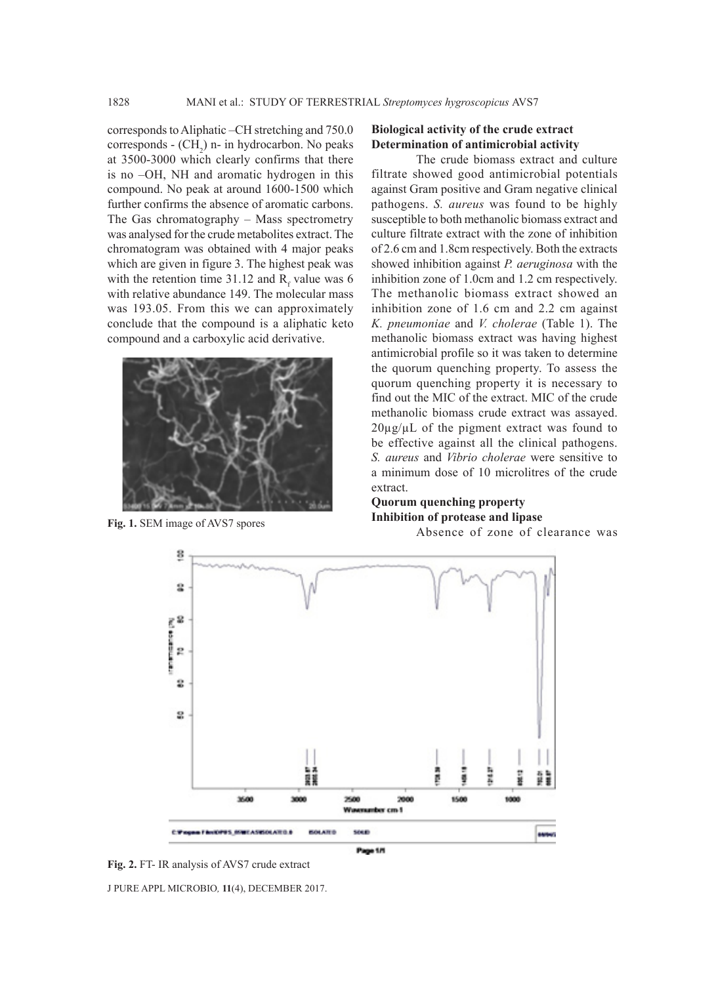corresponds to Aliphatic –CH stretching and 750.0  $corresponds$  -  $(CH<sub>2</sub>)$  n- in hydrocarbon. No peaks at 3500-3000 which clearly confirms that there is no –OH, NH and aromatic hydrogen in this compound. No peak at around 1600-1500 which further confirms the absence of aromatic carbons. The Gas chromatography – Mass spectrometry was analysed for the crude metabolites extract. The chromatogram was obtained with 4 major peaks which are given in figure 3. The highest peak was with the retention time 31.12 and  $R_f$  value was 6 with relative abundance 149. The molecular mass was 193.05. From this we can approximately conclude that the compound is a aliphatic keto compound and a carboxylic acid derivative.



## **Biological activity of the crude extract Determination of antimicrobial activity**

The crude biomass extract and culture filtrate showed good antimicrobial potentials against Gram positive and Gram negative clinical pathogens. *S. aureus* was found to be highly susceptible to both methanolic biomass extract and culture filtrate extract with the zone of inhibition of 2.6 cm and 1.8cm respectively. Both the extracts showed inhibition against *P. aeruginosa* with the inhibition zone of 1.0cm and 1.2 cm respectively. The methanolic biomass extract showed an inhibition zone of 1.6 cm and 2.2 cm against *K. pneumoniae* and *V. cholerae* (Table 1). The methanolic biomass extract was having highest antimicrobial profile so it was taken to determine the quorum quenching property. To assess the quorum quenching property it is necessary to find out the MIC of the extract. MIC of the crude methanolic biomass crude extract was assayed.  $20\mu g/\mu L$  of the pigment extract was found to be effective against all the clinical pathogens. *S. aureus* and *Vibrio cholerae* were sensitive to a minimum dose of 10 microlitres of the crude extract.

#### **Quorum quenching property Inhibition of protease and lipase** Fig. 1. SEM image of AVS7 spores<br>Absence of zone of clearance was



J PURE APPL MICROBIO*,* **11**(4), DECEMBER 2017. **Fig. 2.** FT- IR analysis of AVS7 crude extract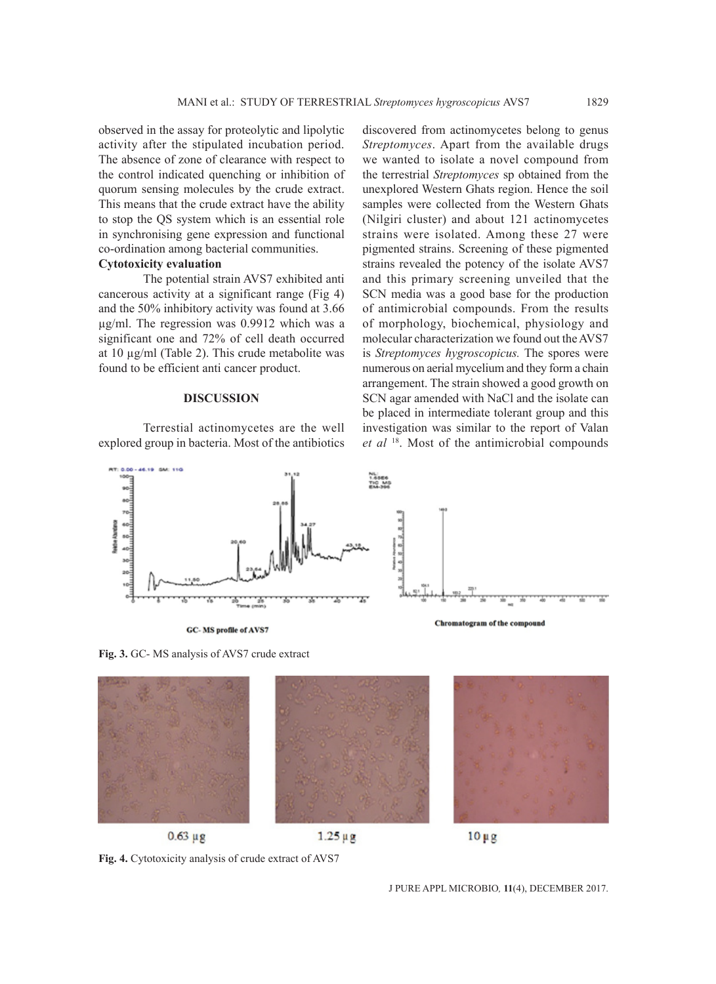observed in the assay for proteolytic and lipolytic activity after the stipulated incubation period. The absence of zone of clearance with respect to the control indicated quenching or inhibition of quorum sensing molecules by the crude extract. This means that the crude extract have the ability to stop the QS system which is an essential role in synchronising gene expression and functional co-ordination among bacterial communities.

# **Cytotoxicity evaluation**

The potential strain AVS7 exhibited anti cancerous activity at a significant range (Fig 4) and the 50% inhibitory activity was found at 3.66 µg/ml. The regression was 0.9912 which was a significant one and 72% of cell death occurred at 10  $\mu$ g/ml (Table 2). This crude metabolite was found to be efficient anti cancer product.

#### **DISCUSSION**

Terrestial actinomycetes are the well explored group in bacteria. Most of the antibiotics

discovered from actinomycetes belong to genus *Streptomyces*. Apart from the available drugs we wanted to isolate a novel compound from the terrestrial *Streptomyces* sp obtained from the unexplored Western Ghats region. Hence the soil samples were collected from the Western Ghats (Nilgiri cluster) and about 121 actinomycetes strains were isolated. Among these 27 were pigmented strains. Screening of these pigmented strains revealed the potency of the isolate AVS7 and this primary screening unveiled that the SCN media was a good base for the production of antimicrobial compounds. From the results of morphology, biochemical, physiology and molecular characterization we found out the AVS7 is *Streptomyces hygroscopicus.* The spores were numerous on aerial mycelium and they form a chain arrangement. The strain showed a good growth on SCN agar amended with NaCl and the isolate can be placed in intermediate tolerant group and this investigation was similar to the report of Valan *et al* 18. Most of the antimicrobial compounds



**Fig. 3.** GC- MS analysis of AVS7 crude extract

GC-MS profile of AVS7





**Fig. 4.** Cytotoxicity analysis of crude extract of AVS7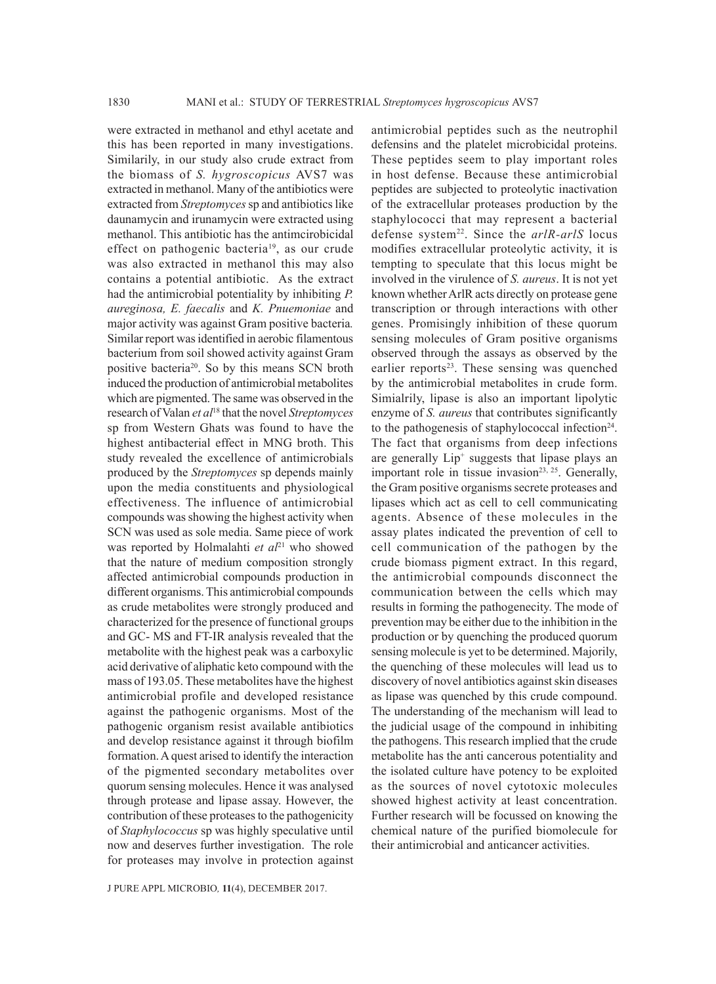1830 MANI et al.: STUDY OF TERRESTRIAL *Streptomyces hygroscopicus* AVS7

were extracted in methanol and ethyl acetate and this has been reported in many investigations. Similarily, in our study also crude extract from the biomass of *S. hygroscopicus* AVS7 was extracted in methanol. Many of the antibiotics were extracted from *Streptomyces* sp and antibiotics like daunamycin and irunamycin were extracted using methanol. This antibiotic has the antimcirobicidal effect on pathogenic bacteria<sup>19</sup>, as our crude was also extracted in methanol this may also contains a potential antibiotic. As the extract had the antimicrobial potentiality by inhibiting *P. aureginosa, E. faecalis* and *K. Pnuemoniae* and major activity was against Gram positive bacteria*.* Similar report was identified in aerobic filamentous bacterium from soil showed activity against Gram positive bacteria<sup>20</sup>. So by this means SCN broth induced the production of antimicrobial metabolites which are pigmented. The same was observed in the research of Valan *et al*18 that the novel *Streptomyces*  sp from Western Ghats was found to have the highest antibacterial effect in MNG broth. This study revealed the excellence of antimicrobials produced by the *Streptomyces* sp depends mainly upon the media constituents and physiological effectiveness. The influence of antimicrobial compounds was showing the highest activity when SCN was used as sole media. Same piece of work was reported by Holmalahti *et al*<sup>21</sup> who showed that the nature of medium composition strongly affected antimicrobial compounds production in different organisms. This antimicrobial compounds as crude metabolites were strongly produced and characterized for the presence of functional groups and GC- MS and FT-IR analysis revealed that the metabolite with the highest peak was a carboxylic acid derivative of aliphatic keto compound with the mass of 193.05. These metabolites have the highest antimicrobial profile and developed resistance against the pathogenic organisms. Most of the pathogenic organism resist available antibiotics and develop resistance against it through biofilm formation. A quest arised to identify the interaction of the pigmented secondary metabolites over quorum sensing molecules. Hence it was analysed through protease and lipase assay. However, the contribution of these proteases to the pathogenicity of *Staphylococcus* sp was highly speculative until now and deserves further investigation. The role for proteases may involve in protection against

J PURE APPL MICROBIO*,* **11**(4), DECEMBER 2017.

antimicrobial peptides such as the neutrophil defensins and the platelet microbicidal proteins. These peptides seem to play important roles in host defense. Because these antimicrobial peptides are subjected to proteolytic inactivation of the extracellular proteases production by the staphylococci that may represent a bacterial defense system22. Since the *arlR-arlS* locus modifies extracellular proteolytic activity, it is tempting to speculate that this locus might be involved in the virulence of *S. aureus*. It is not yet known whether ArlR acts directly on protease gene transcription or through interactions with other genes. Promisingly inhibition of these quorum sensing molecules of Gram positive organisms observed through the assays as observed by the earlier reports<sup>23</sup>. These sensing was quenched by the antimicrobial metabolites in crude form. Simialrily, lipase is also an important lipolytic enzyme of *S. aureus* that contributes significantly to the pathogenesis of staphylococcal infection $24$ . The fact that organisms from deep infections are generally Lip<sup>+</sup> suggests that lipase plays an important role in tissue invasion<sup>23, 25</sup>. Generally, the Gram positive organisms secrete proteases and lipases which act as cell to cell communicating agents. Absence of these molecules in the assay plates indicated the prevention of cell to cell communication of the pathogen by the crude biomass pigment extract. In this regard, the antimicrobial compounds disconnect the communication between the cells which may results in forming the pathogenecity. The mode of prevention may be either due to the inhibition in the production or by quenching the produced quorum sensing molecule is yet to be determined. Majorily, the quenching of these molecules will lead us to discovery of novel antibiotics against skin diseases as lipase was quenched by this crude compound. The understanding of the mechanism will lead to the judicial usage of the compound in inhibiting the pathogens. This research implied that the crude metabolite has the anti cancerous potentiality and the isolated culture have potency to be exploited as the sources of novel cytotoxic molecules showed highest activity at least concentration. Further research will be focussed on knowing the chemical nature of the purified biomolecule for their antimicrobial and anticancer activities.